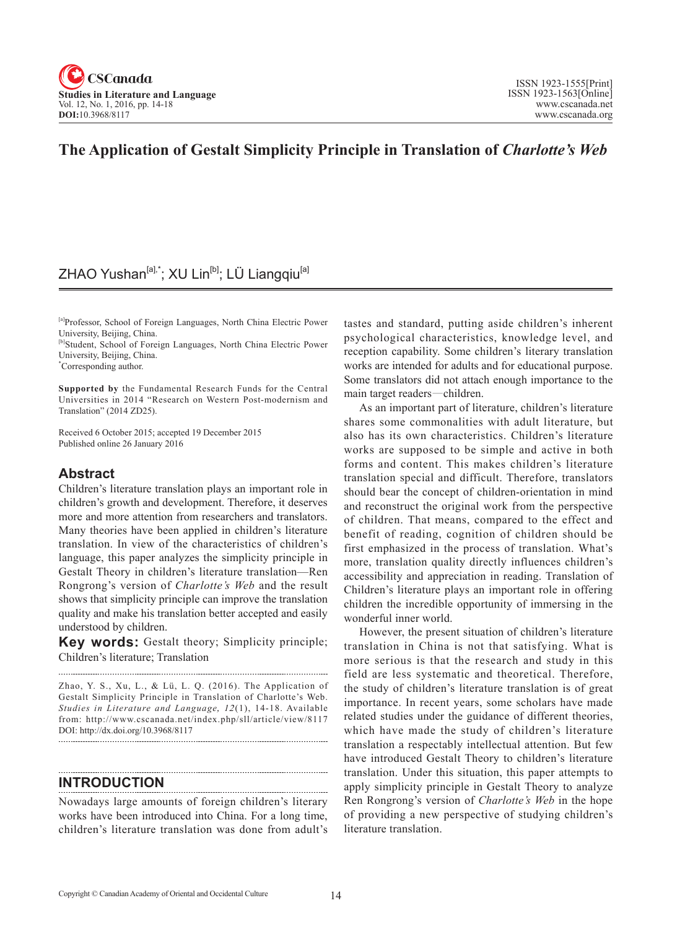

## **The Application of Gestalt Simplicity Principle in Translation of** *Charlotte's Web*

## ZHAO Yushan<sup>[a],\*</sup>; XU Lin<sup>[b]</sup>; LÜ Liangqiu<sup>[a]</sup>

[a]Professor, School of Foreign Languages, North China Electric Power University, Beijing, China.

[b]Student, School of Foreign Languages, North China Electric Power University, Beijing, China.

\* Corresponding author.

**Supported by** the Fundamental Research Funds for the Central Universities in 2014 "Research on Western Post-modernism and Translation" (2014 ZD25).

Received 6 October 2015; accepted 19 December 2015 Published online 26 January 2016

## **Abstract**

Children's literature translation plays an important role in children's growth and development. Therefore, it deserves more and more attention from researchers and translators. Many theories have been applied in children's literature translation. In view of the characteristics of children's language, this paper analyzes the simplicity principle in Gestalt Theory in children's literature translation—Ren Rongrong's version of *Charlotte's Web* and the result shows that simplicity principle can improve the translation quality and make his translation better accepted and easily understood by children.

**Key words:** Gestalt theory; Simplicity principle; Children's literature; Translation 

Zhao, Y. S., Xu, L., & Lü, L. Q. (2016). The Application of Gestalt Simplicity Principle in Translation of Charlotte's Web. Studies in Literature and Language, 12(1), 14-18. Available from: http://www.cscanada.net/index.php/sll/article/view/8117 DOI: http://dx.doi.org/10.3968/8117

**INTRODUCTION** 

Nowadays large amounts of foreign children's literary works have been introduced into China. For a long time, children's literature translation was done from adult's tastes and standard, putting aside children's inherent psychological characteristics, knowledge level, and reception capability. Some children's literary translation works are intended for adults and for educational purpose. Some translators did not attach enough importance to the main target readers—children.

As an important part of literature, children's literature shares some commonalities with adult literature, but also has its own characteristics. Children's literature works are supposed to be simple and active in both forms and content. This makes children's literature translation special and difficult. Therefore, translators should bear the concept of children-orientation in mind and reconstruct the original work from the perspective of children. That means, compared to the effect and benefit of reading, cognition of children should be first emphasized in the process of translation. What's more, translation quality directly influences children's accessibility and appreciation in reading. Translation of Children's literature plays an important role in offering children the incredible opportunity of immersing in the wonderful inner world.

However, the present situation of children's literature translation in China is not that satisfying. What is more serious is that the research and study in this field are less systematic and theoretical. Therefore, the study of children's literature translation is of great importance. In recent years, some scholars have made related studies under the guidance of different theories, which have made the study of children's literature translation a respectably intellectual attention. But few have introduced Gestalt Theory to children's literature translation. Under this situation, this paper attempts to apply simplicity principle in Gestalt Theory to analyze Ren Rongrong's version of *Charlotte's Web* in the hope of providing a new perspective of studying children's literature translation.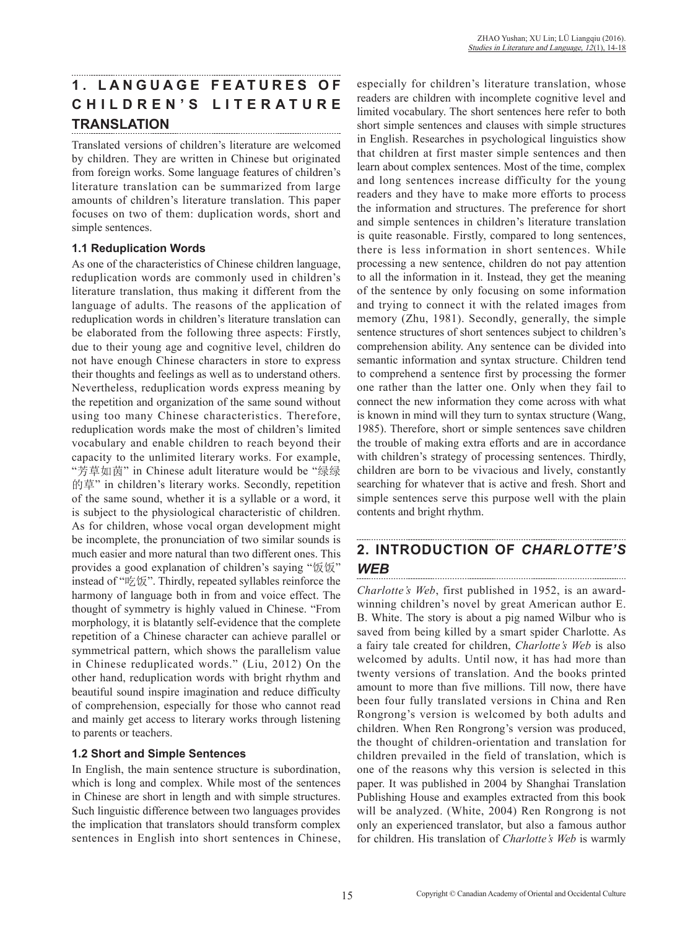# **1 . L A N G U A G E F E A T U R E S O F C H I L D R E N ' S L I T E R A T U R E TRANSLATION**

Translated versions of children's literature are welcomed by children. They are written in Chinese but originated from foreign works. Some language features of children's literature translation can be summarized from large amounts of children's literature translation. This paper focuses on two of them: duplication words, short and simple sentences.

## **1.1 Reduplication Words**

As one of the characteristics of Chinese children language, reduplication words are commonly used in children's literature translation, thus making it different from the language of adults. The reasons of the application of reduplication words in children's literature translation can be elaborated from the following three aspects: Firstly, due to their young age and cognitive level, children do not have enough Chinese characters in store to express their thoughts and feelings as well as to understand others. Nevertheless, reduplication words express meaning by the repetition and organization of the same sound without using too many Chinese characteristics. Therefore, reduplication words make the most of children's limited vocabulary and enable children to reach beyond their capacity to the unlimited literary works. For example, "芳草如茵" in Chinese adult literature would be "绿绿 的草" in children's literary works. Secondly, repetition of the same sound, whether it is a syllable or a word, it is subject to the physiological characteristic of children. As for children, whose vocal organ development might be incomplete, the pronunciation of two similar sounds is much easier and more natural than two different ones. This provides a good explanation of children's saying "饭饭" instead of "吃饭". Thirdly, repeated syllables reinforce the harmony of language both in from and voice effect. The thought of symmetry is highly valued in Chinese. "From morphology, it is blatantly self-evidence that the complete repetition of a Chinese character can achieve parallel or symmetrical pattern, which shows the parallelism value in Chinese reduplicated words." (Liu, 2012) On the other hand, reduplication words with bright rhythm and beautiful sound inspire imagination and reduce difficulty of comprehension, especially for those who cannot read and mainly get access to literary works through listening to parents or teachers.

## **1.2 Short and Simple Sentences**

In English, the main sentence structure is subordination, which is long and complex. While most of the sentences in Chinese are short in length and with simple structures. Such linguistic difference between two languages provides the implication that translators should transform complex sentences in English into short sentences in Chinese, especially for children's literature translation, whose readers are children with incomplete cognitive level and limited vocabulary. The short sentences here refer to both short simple sentences and clauses with simple structures in English. Researches in psychological linguistics show that children at first master simple sentences and then learn about complex sentences. Most of the time, complex and long sentences increase difficulty for the young readers and they have to make more efforts to process the information and structures. The preference for short and simple sentences in children's literature translation is quite reasonable. Firstly, compared to long sentences, there is less information in short sentences. While processing a new sentence, children do not pay attention to all the information in it. Instead, they get the meaning of the sentence by only focusing on some information and trying to connect it with the related images from memory (Zhu, 1981). Secondly, generally, the simple sentence structures of short sentences subject to children's comprehension ability. Any sentence can be divided into semantic information and syntax structure. Children tend to comprehend a sentence first by processing the former one rather than the latter one. Only when they fail to connect the new information they come across with what is known in mind will they turn to syntax structure (Wang, 1985). Therefore, short or simple sentences save children the trouble of making extra efforts and are in accordance with children's strategy of processing sentences. Thirdly, children are born to be vivacious and lively, constantly searching for whatever that is active and fresh. Short and simple sentences serve this purpose well with the plain contents and bright rhythm.

### **2. INTRODUCTION OF** *CHARLOTTE'S WEB*

*Charlotte's Web*, first published in 1952, is an awardwinning children's novel by great American author E. B. White. The story is about a pig named Wilbur who is saved from being killed by a smart spider Charlotte. As a fairy tale created for children, *Charlotte's Web* is also welcomed by adults. Until now, it has had more than twenty versions of translation. And the books printed amount to more than five millions. Till now, there have been four fully translated versions in China and Ren Rongrong's version is welcomed by both adults and children. When Ren Rongrong's version was produced, the thought of children-orientation and translation for children prevailed in the field of translation, which is one of the reasons why this version is selected in this paper. It was published in 2004 by Shanghai Translation Publishing House and examples extracted from this book will be analyzed. (White, 2004) Ren Rongrong is not only an experienced translator, but also a famous author for children. His translation of *Charlotte's Web* is warmly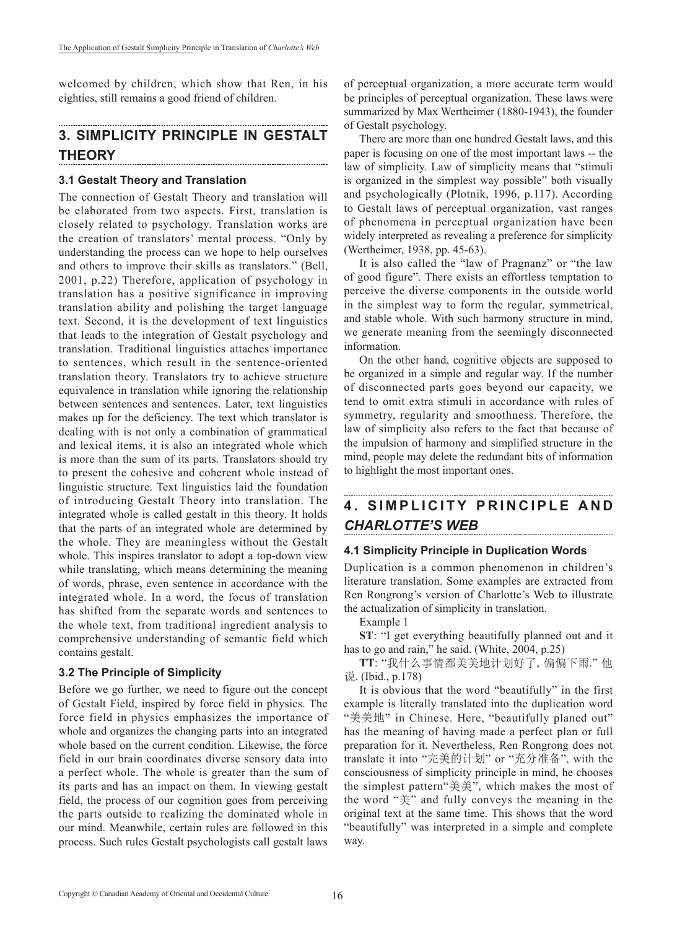welcomed by children, which show that Ren, in his eighties, still remains a good friend of children.

#### **3. SIMPLICITY PRINCIPLE IN GESTALT THEORY**

### **3.1 Gestalt Theory and Translation**

The connection of Gestalt Theory and translation will be elaborated from two aspects. First, translation is closely related to psychology. Translation works are the creation of translators' mental process. "Only by understanding the process can we hope to help ourselves and others to improve their skills as translators." (Bell, 2001, p.22) Therefore, application of psychology in translation has a positive significance in improving translation ability and polishing the target language text. Second, it is the development of text linguistics that leads to the integration of Gestalt psychology and translation. Traditional linguistics attaches importance to sentences, which result in the sentence-oriented translation theory. Translators try to achieve structure equivalence in translation while ignoring the relationship between sentences and sentences. Later, text linguistics makes up for the deficiency. The text which translator is dealing with is not only a combination of grammatical and lexical items, it is also an integrated whole which is more than the sum of its parts. Translators should try to present the cohesive and coherent whole instead of linguistic structure. Text linguistics laid the foundation of introducing Gestalt Theory into translation. The integrated whole is called gestalt in this theory. It holds that the parts of an integrated whole are determined by the whole. They are meaningless without the Gestalt whole. This inspires translator to adopt a top-down view while translating, which means determining the meaning of words, phrase, even sentence in accordance with the integrated whole. In a word, the focus of translation has shifted from the separate words and sentences to the whole text, from traditional ingredient analysis to comprehensive understanding of semantic field which contains gestalt.

#### **3.2 The Principle of Simplicity**

Before we go further, we need to figure out the concept of Gestalt Field, inspired by force field in physics. The force field in physics emphasizes the importance of whole and organizes the changing parts into an integrated whole based on the current condition. Likewise, the force field in our brain coordinates diverse sensory data into a perfect whole. The whole is greater than the sum of its parts and has an impact on them. In viewing gestalt field, the process of our cognition goes from perceiving the parts outside to realizing the dominated whole in our mind. Meanwhile, certain rules are followed in this process. Such rules Gestalt psychologists call gestalt laws

of perceptual organization, a more accurate term would be principles of perceptual organization. These laws were summarized by Max Wertheimer (1880-1943), the founder of Gestalt psychology.

There are more than one hundred Gestalt laws, and this paper is focusing on one of the most important laws -- the law of simplicity. Law of simplicity means that "stimuli is organized in the simplest way possible" both visually and psychologically (Plotnik, 1996, p.117). According to Gestalt laws of perceptual organization, vast ranges of phenomena in perceptual organization have been widely interpreted as revealing a preference for simplicity (Wertheimer, 1938, pp. 45-63).

It is also called the "law of Pragnanz" or "the law of good figure". There exists an effortless temptation to perceive the diverse components in the outside world in the simplest way to form the regular, symmetrical, and stable whole. With such harmony structure in mind, we generate meaning from the seemingly disconnected information.

On the other hand, cognitive objects are supposed to be organized in a simple and regular way. If the number of disconnected parts goes beyond our capacity, we tend to omit extra stimuli in accordance with rules of symmetry, regularity and smoothness. Therefore, the law of simplicity also refers to the fact that because of the impulsion of harmony and simplified structure in the mind, people may delete the redundant bits of information to highlight the most important ones.

# **4. SIMPLICITY PRINCIPLE AND** *CHARLOTTE'S WEB*

#### **4.1 Simplicity Principle in Duplication Words**

Duplication is a common phenomenon in children's literature translation. Some examples are extracted from Ren Rongrong's version of Charlotte's Web to illustrate the actualization of simplicity in translation.

Example 1

**ST**: "I get everything beautifully planned out and it has to go and rain," he said. (White, 2004, p.25)

**TT**: "我什么事情都美美地计划好了, 偏偏下雨." 他 说. (Ibid., p.178)

It is obvious that the word "beautifully" in the first example is literally translated into the duplication word "美美地" in Chinese. Here, "beautifully planed out" has the meaning of having made a perfect plan or full preparation for it. Nevertheless, Ren Rongrong does not translate it into "完美的计划" or "充分准备", with the consciousness of simplicity principle in mind, he chooses the simplest pattern"美美", which makes the most of the word "美" and fully conveys the meaning in the original text at the same time. This shows that the word "beautifully" was interpreted in a simple and complete way.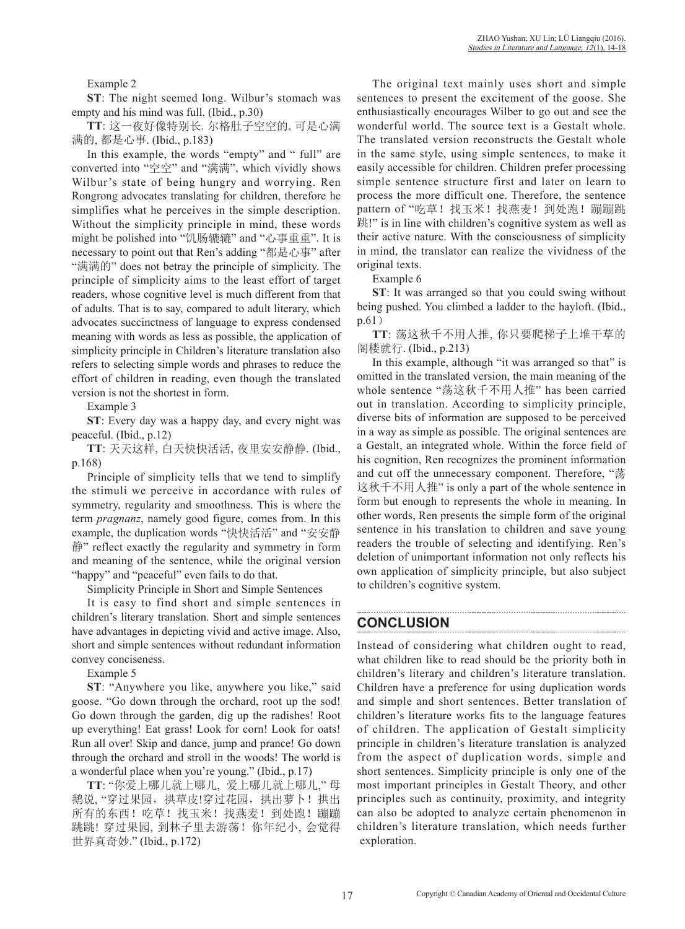Example 2

**ST**: The night seemed long. Wilbur's stomach was empty and his mind was full. (Ibid., p.30)

**TT**: 这一夜好像特别长. 尔格肚子空空的, 可是心满 满的, 都是心事. (Ibid., p.183)

In this example, the words "empty" and " full" are converted into "空空" and "满满", which vividly shows Wilbur's state of being hungry and worrying. Ren Rongrong advocates translating for children, therefore he simplifies what he perceives in the simple description. Without the simplicity principle in mind, these words might be polished into "饥肠辘辘" and "心事重重". It is necessary to point out that Ren's adding "都是心事" after "满满的" does not betray the principle of simplicity. The principle of simplicity aims to the least effort of target readers, whose cognitive level is much different from that of adults. That is to say, compared to adult literary, which advocates succinctness of language to express condensed meaning with words as less as possible, the application of simplicity principle in Children's literature translation also refers to selecting simple words and phrases to reduce the effort of children in reading, even though the translated version is not the shortest in form.

Example 3

**ST**: Every day was a happy day, and every night was peaceful. (Ibid., p.12)

**TT**: 天天这样, 白天快快活活, 夜里安安静静. (Ibid., p.168)

Principle of simplicity tells that we tend to simplify the stimuli we perceive in accordance with rules of symmetry, regularity and smoothness. This is where the term *pragnanz*, namely good figure, comes from. In this example, the duplication words "快快活活" and "安安静 静" reflect exactly the regularity and symmetry in form and meaning of the sentence, while the original version "happy" and "peaceful" even fails to do that.

Simplicity Principle in Short and Simple Sentences

It is easy to find short and simple sentences in children's literary translation. Short and simple sentences have advantages in depicting vivid and active image. Also, short and simple sentences without redundant information convey conciseness.

Example 5

**ST**: "Anywhere you like, anywhere you like," said goose. "Go down through the orchard, root up the sod! Go down through the garden, dig up the radishes! Root up everything! Eat grass! Look for corn! Look for oats! Run all over! Skip and dance, jump and prance! Go down through the orchard and stroll in the woods! The world is a wonderful place when you're young." (Ibid., p.17)

**TT**: "你爱上哪儿就上哪儿, 爱上哪儿就上哪儿," 母 鹅说, "穿过果园, 拱草皮!穿过花园, 拱出萝卜! 拱出 所有的东西!吃草!找玉米!找燕麦!到处跑!蹦蹦 跳跳! 穿过果园, 到林子里去游荡!你年纪小, 会觉得 世界真奇妙." (Ibid., p.172)

The original text mainly uses short and simple sentences to present the excitement of the goose. She enthusiastically encourages Wilber to go out and see the wonderful world. The source text is a Gestalt whole. The translated version reconstructs the Gestalt whole in the same style, using simple sentences, to make it easily accessible for children. Children prefer processing simple sentence structure first and later on learn to process the more difficult one. Therefore, the sentence pattern of "吃草!找玉米!找燕麦!到处跑!蹦蹦跳 跳!" is in line with children's cognitive system as well as their active nature. With the consciousness of simplicity in mind, the translator can realize the vividness of the original texts.

Example 6

**ST**: It was arranged so that you could swing without being pushed. You climbed a ladder to the hayloft. (Ibid., p.61)

**TT**: 荡这秋千不用人推, 你只要爬梯子上堆干草的 阁楼就行. (Ibid., p.213)

In this example, although "it was arranged so that" is omitted in the translated version, the main meaning of the whole sentence "荡这秋千不用人推" has been carried out in translation. According to simplicity principle, diverse bits of information are supposed to be perceived in a way as simple as possible. The original sentences are a Gestalt, an integrated whole. Within the force field of his cognition, Ren recognizes the prominent information and cut off the unnecessary component. Therefore, "荡 这秋千不用人推" is only a part of the whole sentence in form but enough to represents the whole in meaning. In other words, Ren presents the simple form of the original sentence in his translation to children and save young readers the trouble of selecting and identifying. Ren's deletion of unimportant information not only reflects his own application of simplicity principle, but also subject to children's cognitive system.

# **CONCLUSION**

Instead of considering what children ought to read, what children like to read should be the priority both in children's literary and children's literature translation. Children have a preference for using duplication words and simple and short sentences. Better translation of children's literature works fits to the language features of children. The application of Gestalt simplicity principle in children's literature translation is analyzed from the aspect of duplication words, simple and short sentences. Simplicity principle is only one of the most important principles in Gestalt Theory, and other principles such as continuity, proximity, and integrity can also be adopted to analyze certain phenomenon in children's literature translation, which needs further exploration.